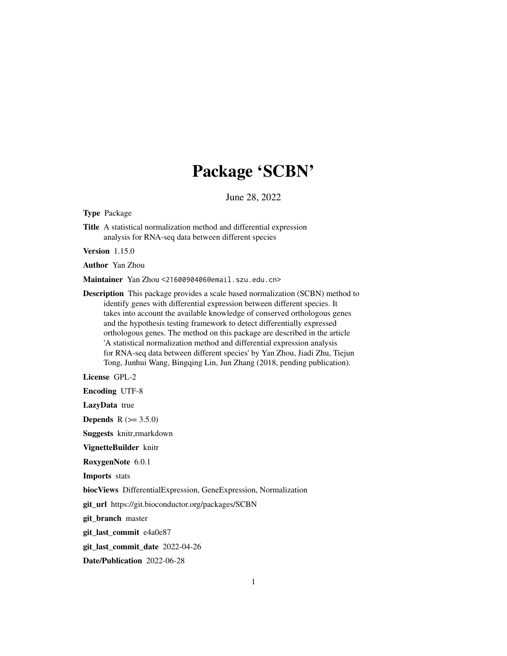# Package 'SCBN'

June 28, 2022

Type Package

Title A statistical normalization method and differential expression analysis for RNA-seq data between different species

Version 1.15.0

Author Yan Zhou

Maintainer Yan Zhou <2160090406@email.szu.edu.cn>

Description This package provides a scale based normalization (SCBN) method to identify genes with differential expression between different species. It takes into account the available knowledge of conserved orthologous genes and the hypothesis testing framework to detect differentially expressed orthologous genes. The method on this package are described in the article 'A statistical normalization method and differential expression analysis for RNA-seq data between different species' by Yan Zhou, Jiadi Zhu, Tiejun Tong, Junhui Wang, Bingqing Lin, Jun Zhang (2018, pending publication).

License GPL-2

Encoding UTF-8

LazyData true

**Depends** R  $(>= 3.5.0)$ 

Suggests knitr,rmarkdown

VignetteBuilder knitr

RoxygenNote 6.0.1

Imports stats

biocViews DifferentialExpression, GeneExpression, Normalization

git\_url https://git.bioconductor.org/packages/SCBN

git\_branch master

git\_last\_commit e4a0e87

git\_last\_commit\_date 2022-04-26

Date/Publication 2022-06-28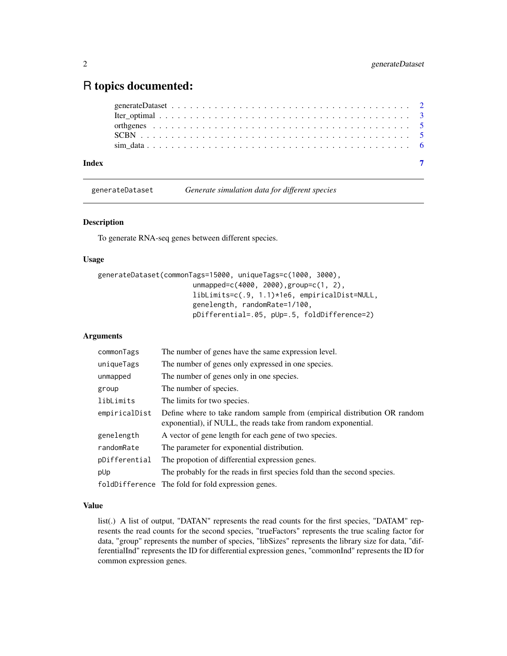# <span id="page-1-0"></span>R topics documented:

| Index |  |  |  |  |  |  |  |  |  |  |  |  |  |  |  |  |  |  |  |
|-------|--|--|--|--|--|--|--|--|--|--|--|--|--|--|--|--|--|--|--|
|       |  |  |  |  |  |  |  |  |  |  |  |  |  |  |  |  |  |  |  |
|       |  |  |  |  |  |  |  |  |  |  |  |  |  |  |  |  |  |  |  |
|       |  |  |  |  |  |  |  |  |  |  |  |  |  |  |  |  |  |  |  |
|       |  |  |  |  |  |  |  |  |  |  |  |  |  |  |  |  |  |  |  |
|       |  |  |  |  |  |  |  |  |  |  |  |  |  |  |  |  |  |  |  |

generateDataset *Generate simulation data for different species*

### Description

To generate RNA-seq genes between different species.

# Usage

```
generateDataset(commonTags=15000, uniqueTags=c(1000, 3000),
                       unmapped=c(4000, 2000),group=c(1, 2),
                       libLimits=c(.9, 1.1)*1e6, empiricalDist=NULL,
                       genelength, randomRate=1/100,
                       pDifferential=.05, pUp=.5, foldDifference=2)
```
# Arguments

| commonTags    | The number of genes have the same expression level.                                                                                         |
|---------------|---------------------------------------------------------------------------------------------------------------------------------------------|
| uniqueTags    | The number of genes only expressed in one species.                                                                                          |
| unmapped      | The number of genes only in one species.                                                                                                    |
| group         | The number of species.                                                                                                                      |
| libLimits     | The limits for two species.                                                                                                                 |
| empiricalDist | Define where to take random sample from (empirical distribution OR random<br>exponential), if NULL, the reads take from random exponential. |
| genelength    | A vector of gene length for each gene of two species.                                                                                       |
| randomRate    | The parameter for exponential distribution.                                                                                                 |
| pDifferential | The propotion of differential expression genes.                                                                                             |
| pUp           | The probably for the reads in first species fold than the second species.                                                                   |
|               | foldDifference The fold for fold expression genes.                                                                                          |

# Value

list(.) A list of output, "DATAN" represents the read counts for the first species, "DATAM" represents the read counts for the second species, "trueFactors" represents the true scaling factor for data, "group" represents the number of species, "libSizes" represents the library size for data, "differentialInd" represents the ID for differential expression genes, "commonInd" represents the ID for common expression genes.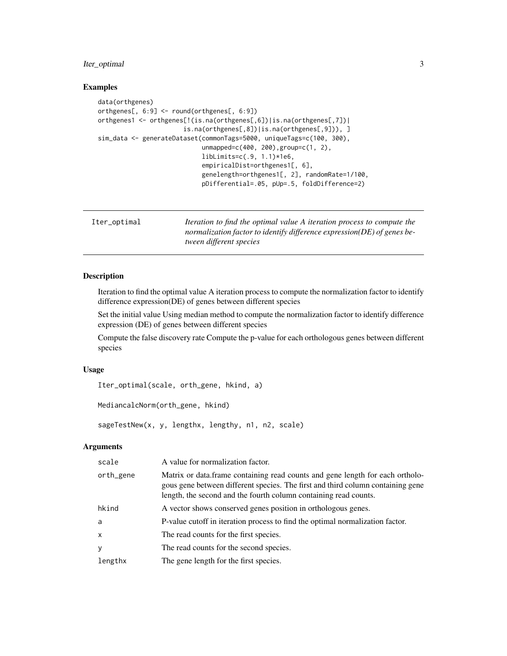# <span id="page-2-0"></span>Iter\_optimal 3

# Examples

```
data(orthgenes)
orthgenes[, 6:9] <- round(orthgenes[, 6:9])
orthgenes1 <- orthgenes[!(is.na(orthgenes[,6])|is.na(orthgenes[,7])|
                       is.na(orthgenes[,8])|is.na(orthgenes[,9])), ]
sim_data <- generateDataset(commonTags=5000, uniqueTags=c(100, 300),
                            unmapped=c(400, 200),group=c(1, 2),
                            libLimits=c(.9, 1.1)*1e6,
                            empiricalDist=orthgenes1[, 6],
                            genelength=orthgenes1[, 2], randomRate=1/100,
                            pDifferential=.05, pUp=.5, foldDifference=2)
```

```
Iter_optimal Iteration to find the optimal value A iteration process to compute the
                          normalization factor to identify difference expression(DE) of genes be-
                          tween different species
```
# Description

Iteration to find the optimal value A iteration process to compute the normalization factor to identify difference expression(DE) of genes between different species

Set the initial value Using median method to compute the normalization factor to identify difference expression (DE) of genes between different species

Compute the false discovery rate Compute the p-value for each orthologous genes between different species

#### Usage

```
Iter_optimal(scale, orth_gene, hkind, a)
```

```
MediancalcNorm(orth_gene, hkind)
```
sageTestNew(x, y, lengthx, lengthy, n1, n2, scale)

# Arguments

| scale        | A value for normalization factor.                                                                                                                                                                                                    |
|--------------|--------------------------------------------------------------------------------------------------------------------------------------------------------------------------------------------------------------------------------------|
| orth_gene    | Matrix or data.frame containing read counts and gene length for each ortholo-<br>gous gene between different species. The first and third column containing gene<br>length, the second and the fourth column containing read counts. |
| hkind        | A vector shows conserved genes position in orthologous genes.                                                                                                                                                                        |
| a            | P-value cutoff in iteration process to find the optimal normalization factor.                                                                                                                                                        |
| $\mathsf{x}$ | The read counts for the first species.                                                                                                                                                                                               |
| y            | The read counts for the second species.                                                                                                                                                                                              |
| lengthx      | The gene length for the first species.                                                                                                                                                                                               |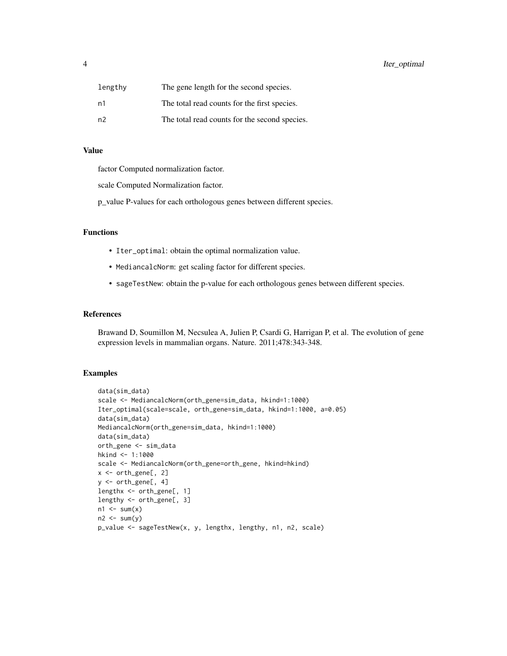| lengthy        | The gene length for the second species.       |
|----------------|-----------------------------------------------|
| n1             | The total read counts for the first species.  |
| n <sub>2</sub> | The total read counts for the second species. |

# Value

factor Computed normalization factor.

scale Computed Normalization factor.

p\_value P-values for each orthologous genes between different species.

# Functions

- Iter\_optimal: obtain the optimal normalization value.
- MediancalcNorm: get scaling factor for different species.
- sageTestNew: obtain the p-value for each orthologous genes between different species.

# References

Brawand D, Soumillon M, Necsulea A, Julien P, Csardi G, Harrigan P, et al. The evolution of gene expression levels in mammalian organs. Nature. 2011;478:343-348.

# Examples

```
data(sim_data)
scale <- MediancalcNorm(orth_gene=sim_data, hkind=1:1000)
Iter_optimal(scale=scale, orth_gene=sim_data, hkind=1:1000, a=0.05)
data(sim_data)
MediancalcNorm(orth_gene=sim_data, hkind=1:1000)
data(sim_data)
orth_gene <- sim_data
hkind <- 1:1000
scale <- MediancalcNorm(orth_gene=orth_gene, hkind=hkind)
x <- orth_gene[, 2]
y <- orth_gene[, 4]
lengthx <- orth_gene[, 1]
lengthy <- orth_gene[, 3]
n1 \le -\text{sum}(x)n2 \le -\text{sum}(y)p_value <- sageTestNew(x, y, lengthx, lengthy, n1, n2, scale)
```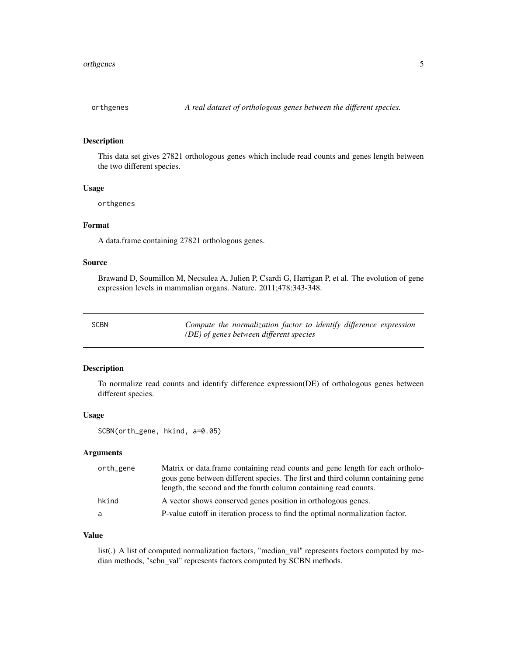<span id="page-4-0"></span>

# Description

This data set gives 27821 orthologous genes which include read counts and genes length between the two different species.

#### Usage

orthgenes

# Format

A data.frame containing 27821 orthologous genes.

### Source

Brawand D, Soumillon M, Necsulea A, Julien P, Csardi G, Harrigan P, et al. The evolution of gene expression levels in mammalian organs. Nature. 2011;478:343-348.

Compute the normalization factor to identify difference expression *(DE) of genes between different species*

# Description

To normalize read counts and identify difference expression(DE) of orthologous genes between different species.

#### Usage

SCBN(orth\_gene, hkind, a=0.05)

#### Arguments

| orth_gene | Matrix or data frame containing read counts and gene length for each ortholo-   |
|-----------|---------------------------------------------------------------------------------|
|           | gous gene between different species. The first and third column containing gene |
|           | length, the second and the fourth column containing read counts.                |
| hkind     | A vector shows conserved genes position in orthologous genes.                   |
| a         | P-value cutoff in iteration process to find the optimal normalization factor.   |

#### Value

list(.) A list of computed normalization factors, "median\_val" represents foctors computed by median methods, "scbn\_val" represents factors computed by SCBN methods.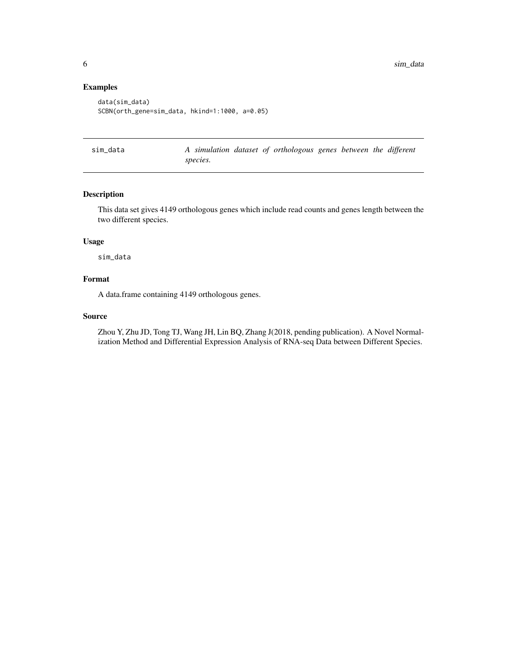# <span id="page-5-0"></span>Examples

```
data(sim_data)
SCBN(orth_gene=sim_data, hkind=1:1000, a=0.05)
```

| sim data |          |  | A simulation dataset of orthologous genes between the different |  |  |
|----------|----------|--|-----------------------------------------------------------------|--|--|
|          | species. |  |                                                                 |  |  |

# Description

This data set gives 4149 orthologous genes which include read counts and genes length between the two different species.

# Usage

sim\_data

# Format

A data.frame containing 4149 orthologous genes.

#### Source

Zhou Y, Zhu JD, Tong TJ, Wang JH, Lin BQ, Zhang J(2018, pending publication). A Novel Normalization Method and Differential Expression Analysis of RNA-seq Data between Different Species.